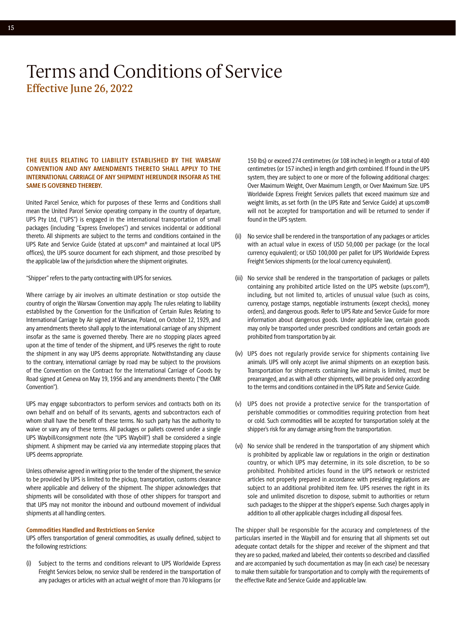#### **THE RULES RELATING TO LIABILITY ESTABLISHED BY THE WARSAW CONVENTION AND ANY AMENDMENTS THERETO SHALL APPLY TO THE INTERNATIONAL CARRIAGE OF ANY SHIPMENT HEREUNDER INSOFAR AS THE SAME IS GOVERNED THEREBY.**

United Parcel Service, which for purposes of these Terms and Conditions shall mean the United Parcel Service operating company in the country of departure, UPS Pty Ltd, ("UPS") is engaged in the international transportation of small packages (including "Express Envelopes") and services incidental or additional thereto. All shipments are subject to the terms and conditions contained in the UPS Rate and Service Guide (stated at [ups.com](http://ups.com)® and maintained at local UPS offices), the UPS source document for each shipment, and those prescribed by the applicable law of the jurisdiction where the shipment originates.

"Shipper" refers to the party contracting with UPS for services.

Where carriage by air involves an ultimate destination or stop outside the country of origin the Warsaw Convention may apply. The rules relating to liability established by the Convention for the Unification of Certain Rules Relating to International Carriage by Air signed at Warsaw, Poland, on October 12, 1929, and any amendments thereto shall apply to the international carriage of any shipment insofar as the same is governed thereby. There are no stopping places agreed upon at the time of tender of the shipment, and UPS reserves the right to route the shipment in any way UPS deems appropriate. Notwithstanding any clause to the contrary, international carriage by road may be subject to the provisions of the Convention on the Contract for the International Carriage of Goods by Road signed at Geneva on May 19, 1956 and any amendments thereto ("the CMR Convention").

UPS may engage subcontractors to perform services and contracts both on its own behalf and on behalf of its servants, agents and subcontractors each of whom shall have the benefit of these terms. No such party has the authority to waive or vary any of these terms. All packages or pallets covered under a single UPS Waybill/consignment note (the "UPS Waybill") shall be considered a single shipment. A shipment may be carried via any intermediate stopping places that UPS deems appropriate.

Unless otherwise agreed in writing prior to the tender of the shipment, the service to be provided by UPS is limited to the pickup, transportation, customs clearance where applicable and delivery of the shipment. The shipper acknowledges that shipments will be consolidated with those of other shippers for transport and that UPS may not monitor the inbound and outbound movement of individual shipments at all handling centers.

#### **Commodities Handled and Restrictions on Service**

UPS offers transportation of general commodities, as usually defined, subject to the following restrictions:

(i) Subject to the terms and conditions relevant to UPS Worldwide Express Freight Services below, no service shall be rendered in the transportation of any packages or articles with an actual weight of more than 70 kilograms (or

150 lbs) or exceed 274 centimetres (or 108 inches) in length or a total of 400 centimetres (or 157 inches) in length and girth combined. If found in the UPS system, they are subject to one or more of the following additional charges: Over Maximum Weight, Over Maximum Length, or Over Maximum Size. UPS Worldwide Express Freight Services pallets that exceed maximum size and weight limits, as set forth (in the UPS Rate and Service Guide) at [ups.com®](http://ups.com) will not be accepted for transportation and will be returned to sender if found in the UPS system.

- (ii) No service shall be rendered in the transportation of any packages or articles with an actual value in excess of USD 50,000 per package (or the local currency equivalent); or USD 100,000 per pallet for UPS Worldwide Express Freight Services shipments (or the local currency equivalent).
- (iii) No service shall be rendered in the transportation of packages or pallets containing any prohibited article listed on the UPS website (ups.com®), including, but not limited to, articles of unusual value (such as coins, currency, postage stamps, negotiable instruments (except checks), money orders), and dangerous goods. Refer to UPS Rate and Service Guide for more information about dangerous goods. Under applicable law, certain goods may only be transported under prescribed conditions and certain goods are prohibited from transportation by air.
- (iv) UPS does not regularly provide service for shipments containing live animals. UPS will only accept live animal shipments on an exception basis. Transportation for shipments containing live animals is limited, must be prearranged, and as with all other shipments, will be provided only according to the terms and conditions contained in the UPS Rate and Service Guide.
- (v) UPS does not provide a protective service for the transportation of perishable commodities or commodities requiring protection from heat or cold. Such commodities will be accepted for transportation solely at the shipper's risk for any damage arising from the transportation.
- (vi) No service shall be rendered in the transportation of any shipment which is prohibited by applicable law or regulations in the origin or destination country, or which UPS may determine, in its sole discretion, to be so prohibited. Prohibited articles found in the UPS network or restricted articles not properly prepared in accordance with presiding regulations are subject to an additional prohibited item fee. UPS reserves the right in its sole and unlimited discretion to dispose, submit to authorities or return such packages to the shipper at the shipper's expense. Such charges apply in addition to all other applicable charges including all disposal fees.

The shipper shall be responsible for the accuracy and completeness of the particulars inserted in the Waybill and for ensuring that all shipments set out adequate contact details for the shipper and receiver of the shipment and that they are so packed, marked and labeled, their contents so described and classified and are accompanied by such documentation as may (in each case) be necessary to make them suitable for transportation and to comply with the requirements of the effective Rate and Service Guide and applicable law.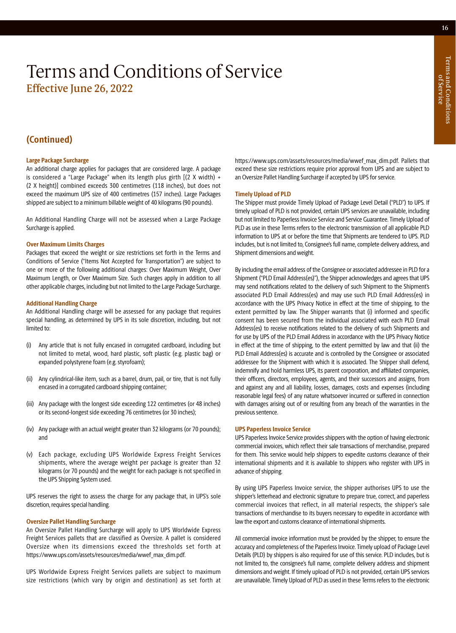# Terms and Conditions Terms and Conditions of Service

## Terms and Conditions of Service Effective June 26, 2022

### **(Continued)**

#### **Large Package Surcharge**

An additional charge applies for packages that are considered large. A package is considered a "Large Package" when its length plus girth [(2 X width) + (2 X height)] combined exceeds 300 centimetres (118 inches), but does not exceed the maximum UPS size of 400 centimetres (157 inches). Large Packages shipped are subject to a minimum billable weight of 40 kilograms (90 pounds).

An Additional Handling Charge will not be assessed when a Large Package Surcharge is applied.

#### **Over Maximum Limits Charges**

Packages that exceed the weight or size restrictions set forth in the Terms and Conditions of Service ("Items Not Accepted for Transportation") are subject to one or more of the following additional charges: Over Maximum Weight, Over Maximum Length, or Over Maximum Size. Such charges apply in addition to all other applicable charges, including but not limited to the Large Package Surcharge.

#### **Additional Handling Charge**

An Additional Handling charge will be assessed for any package that requires special handling, as determined by UPS in its sole discretion, including, but not limited to:

- (i) Any article that is not fully encased in corrugated cardboard, including but not limited to metal, wood, hard plastic, soft plastic (e.g. plastic bag) or expanded polystyrene foam (e.g. styrofoam);
- (ii) Any cylindrical-like item, such as a barrel, drum, pail, or tire, that is not fully encased in a corrugated cardboard shipping container;
- (iii) Any package with the longest side exceeding 122 centimetres (or 48 inches) or its second-longest side exceeding 76 centimetres (or 30 inches);
- (iv) Any package with an actual weight greater than 32 kilograms (or 70 pounds); and
- (v) Each package, excluding UPS Worldwide Express Freight Services shipments, where the average weight per package is greater than 32 kilograms (or 70 pounds) and the weight for each package is not specified in the UPS Shipping System used.

UPS reserves the right to assess the charge for any package that, in UPS's sole discretion, requires special handling.

#### **Oversize Pallet Handling Surcharge**

An Oversize Pallet Handling Surcharge will apply to UPS Worldwide Express Freight Services pallets that are classified as Oversize. A pallet is considered Oversize when its dimensions exceed the thresholds set forth at [https://www.ups.com/assets/resources/media/wwef\\_max\\_dim.pdf](https://www.ups.com/assets/resources/media/wwef_max_dim.pdf)[.](https://www.ups.com/media/en/wwef_max_dim.pdf)

UPS Worldwide Express Freight Services pallets are subject to maximum size restrictions (which vary by origin and destination) as set forth at [https://www.ups.com/assets/resources/media/wwef\\_max\\_dim.pdf.](https://www.ups.com/assets/resources/media/wwef_max_dim.pdf) Pallets that exceed these size restrictions require prior approval from UPS and are subject to an Oversize Pallet Handling Surcharge if accepted by UPS for service.

#### **Timely Upload of PLD**

The Shipper must provide Timely Upload of Package Level Detail ("PLD") to UPS. If timely upload of PLD is not provided, certain UPS services are unavailable, including but not limited to Paperless Invoice Service and Service Guarantee. Timely Upload of PLD as use in these Terms refers to the electronic transmission of all applicable PLD information to UPS at or before the time that Shipments are tendered to UPS. PLD includes, but is not limited to, Consignee's full name, complete delivery address, and Shipment dimensions and weight.

By including the email address of the Consignee or associated addressee in PLD for a Shipment ("PLD Email Address(es)"), the Shipper acknowledges and agrees that UPS may send notifications related to the delivery of such Shipment to the Shipment's associated PLD Email Address(es) and may use such PLD Email Address(es) in accordance with the UPS Privacy Notice in effect at the time of shipping, to the extent permitted by law. The Shipper warrants that (i) informed and specific consent has been secured from the individual associated with each PLD Email Address(es) to receive notifications related to the delivery of such Shipments and for use by UPS of the PLD Email Address in accordance with the UPS Privacy Notice in effect at the time of shipping, to the extent permitted by law and that (ii) the PLD Email Address(es) is accurate and is controlled by the Consignee or associated addressee for the Shipment with which it is associated. The Shipper shall defend, indemnify and hold harmless UPS, its parent corporation, and affiliated companies, their officers, directors, employees, agents, and their successors and assigns, from and against any and all liability, losses, damages, costs and expenses (including reasonable legal fees) of any nature whatsoever incurred or suffered in connection with damages arising out of or resulting from any breach of the warranties in the previous sentence.

#### **UPS Paperless Invoice Service**

UPS Paperless Invoice Service provides shippers with the option of having electronic commercial invoices, which reflect their sale transactions of merchandise, prepared for them. This service would help shippers to expedite customs clearance of their international shipments and it is available to shippers who register with UPS in advance of shipping.

By using UPS Paperless Invoice service, the shipper authorises UPS to use the shipper's letterhead and electronic signature to prepare true, correct, and paperless commercial invoices that reflect, in all material respects, the shipper's sale transactions of merchandise to its buyers necessary to expedite in accordance with law the export and customs clearance of international shipments.

All commercial invoice information must be provided by the shipper, to ensure the accuracy and completeness of the Paperless Invoice. Timely upload of Package Level Details (PLD) by shippers is also required for use of this service. PLD includes, but is not limited to, the consignee's full name, complete delivery address and shipment dimensions and weight. If timely upload of PLD is not provided, certain UPS services are unavailable. Timely Upload of PLD as used in these Terms refers to the electronic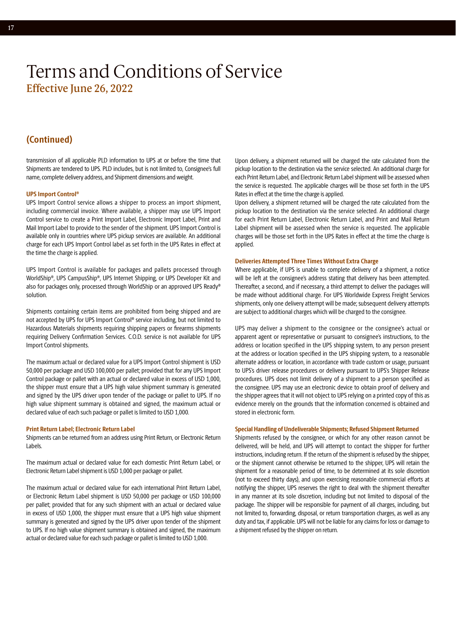### **(Continued)**

transmission of all applicable PLD information to UPS at or before the time that Shipments are tendered to UPS. PLD includes, but is not limited to, Consignee's full name, complete delivery address, and Shipment dimensions and weight.

#### **UPS Import Control®**

UPS Import Control service allows a shipper to process an import shipment, including commercial invoice. Where available, a shipper may use UPS Import Control service to create a Print Import Label, Electronic Import Label, Print and Mail Import Label to provide to the sender of the shipment. UPS Import Control is available only in countries where UPS pickup services are available. An additional charge for each UPS Import Control label as set forth in the UPS Rates in effect at the time the charge is applied.

UPS Import Control is available for packages and pallets processed through WorldShip®, UPS CampusShip®, UPS Internet Shipping, or UPS Developer Kit and also for packages only, processed through WorldShip or an approved UPS Ready® solution.

Shipments containing certain items are prohibited from being shipped and are not accepted by UPS for UPS Import Control® service including, but not limited to Hazardous Materials shipments requiring shipping papers or firearms shipments requiring Delivery Confirmation Services. C.O.D. service is not available for UPS Import Control shipments.

The maximum actual or declared value for a UPS Import Control shipment is USD 50,000 per package and USD 100,000 per pallet; provided that for any UPS Import Control package or pallet with an actual or declared value in excess of USD 1,000, the shipper must ensure that a UPS high value shipment summary is generated and signed by the UPS driver upon tender of the package or pallet to UPS. If no high value shipment summary is obtained and signed, the maximum actual or declared value of each such package or pallet is limited to USD 1,000.

#### **Print Return Label; Electronic Return Label**

Shipments can be returned from an address using Print Return, or Electronic Return Labels.

The maximum actual or declared value for each domestic Print Return Label, or Electronic Return Label shipment is USD 1,000 per package or pallet.

The maximum actual or declared value for each international Print Return Label, or Electronic Return Label shipment is USD 50,000 per package or USD 100,000 per pallet; provided that for any such shipment with an actual or declared value in excess of USD 1,000, the shipper must ensure that a UPS high value shipment summary is generated and signed by the UPS driver upon tender of the shipment to UPS. If no high value shipment summary is obtained and signed, the maximum actual or declared value for each such package or pallet is limited to USD 1,000.

Upon delivery, a shipment returned will be charged the rate calculated from the pickup location to the destination via the service selected. An additional charge for each Print Return Label, and Electronic Return Label shipment will be assessed when the service is requested. The applicable charges will be those set forth in the UPS Rates in effect at the time the charge is applied.

Upon delivery, a shipment returned will be charged the rate calculated from the pickup location to the destination via the service selected. An additional charge for each Print Return Label, Electronic Return Label, and Print and Mail Return Label shipment will be assessed when the service is requested. The applicable charges will be those set forth in the UPS Rates in effect at the time the charge is applied.

#### **Deliveries Attempted Three Times Without Extra Charge**

Where applicable, if UPS is unable to complete delivery of a shipment, a notice will be left at the consignee's address stating that delivery has been attempted. Thereafter, a second, and if necessary, a third attempt to deliver the packages will be made without additional charge. For UPS Worldwide Express Freight Services shipments, only one delivery attempt will be made; subsequent delivery attempts are subject to additional charges which will be charged to the consignee.

UPS may deliver a shipment to the consignee or the consignee's actual or apparent agent or representative or pursuant to consignee's instructions, to the address or location specified in the UPS shipping system, to any person present at the address or location specified in the UPS shipping system, to a reasonable alternate address or location, in accordance with trade custom or usage, pursuant to UPS's driver release procedures or delivery pursuant to UPS's Shipper Release procedures. UPS does not limit delivery of a shipment to a person specified as the consignee. UPS may use an electronic device to obtain proof of delivery and the shipper agrees that it will not object to UPS relying on a printed copy of this as evidence merely on the grounds that the information concerned is obtained and stored in electronic form.

#### **Special Handling of Undeliverable Shipments; Refused Shipment Returned**

Shipments refused by the consignee, or which for any other reason cannot be delivered, will be held, and UPS will attempt to contact the shipper for further instructions, including return. If the return of the shipment is refused by the shipper, or the shipment cannot otherwise be returned to the shipper, UPS will retain the shipment for a reasonable period of time, to be determined at its sole discretion (not to exceed thirty days), and upon exercising reasonable commercial efforts at notifying the shipper, UPS reserves the right to deal with the shipment thereafter in any manner at its sole discretion, including but not limited to disposal of the package. The shipper will be responsible for payment of all charges, including, but not limited to, forwarding, disposal, or return transportation charges, as well as any duty and tax, if applicable. UPS will not be liable for any claims for loss or damage to a shipment refused by the shipper on return.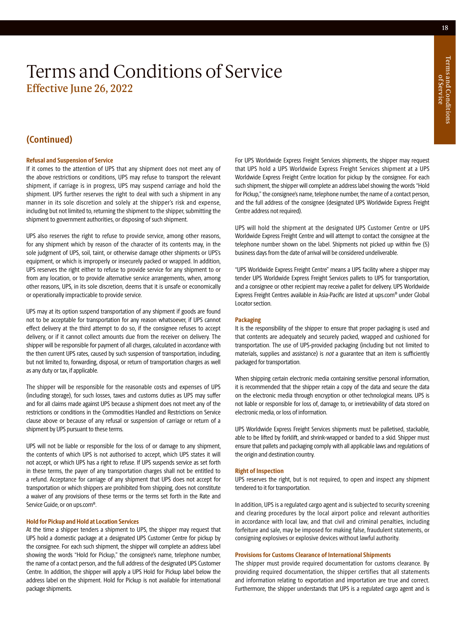### **(Continued)**

#### **Refusal and Suspension of Service**

If it comes to the attention of UPS that any shipment does not meet any of the above restrictions or conditions, UPS may refuse to transport the relevant shipment, if carriage is in progress, UPS may suspend carriage and hold the shipment. UPS further reserves the right to deal with such a shipment in any manner in its sole discretion and solely at the shipper's risk and expense, including but not limited to, returning the shipment to the shipper, submitting the shipment to government authorities, or disposing of such shipment.

UPS also reserves the right to refuse to provide service, among other reasons, for any shipment which by reason of the character of its contents may, in the sole judgment of UPS, soil, taint, or otherwise damage other shipments or UPS's equipment, or which is improperly or insecurely packed or wrapped. In addition, UPS reserves the right either to refuse to provide service for any shipment to or from any location, or to provide alternative service arrangements, when, among other reasons, UPS, in its sole discretion, deems that it is unsafe or economically or operationally impracticable to provide service.

UPS may at its option suspend transportation of any shipment if goods are found not to be acceptable for transportation for any reason whatsoever, if UPS cannot effect delivery at the third attempt to do so, if the consignee refuses to accept delivery, or if it cannot collect amounts due from the receiver on delivery. The shipper will be responsible for payment of all charges, calculated in accordance with the then current UPS rates, caused by such suspension of transportation, including, but not limited to, forwarding, disposal, or return of transportation charges as well as any duty or tax, if applicable.

The shipper will be responsible for the reasonable costs and expenses of UPS (including storage), for such losses, taxes and customs duties as UPS may suffer and for all claims made against UPS because a shipment does not meet any of the restrictions or conditions in the Commodities Handled and Restrictions on Service clause above or because of any refusal or suspension of carriage or return of a shipment by UPS pursuant to these terms.

UPS will not be liable or responsible for the loss of or damage to any shipment, the contents of which UPS is not authorised to accept, which UPS states it will not accept, or which UPS has a right to refuse. If UPS suspends service as set forth in these terms, the payer of any transportation charges shall not be entitled to a refund. Acceptance for carriage of any shipment that UPS does not accept for transportation or which shippers are prohibited from shipping, does not constitute a waiver of any provisions of these terms or the terms set forth in the Rate and Service Guide, or on [ups.com](http://ups.com)®.

#### **Hold for Pickup and Hold at Location Services**

At the time a shipper tenders a shipment to UPS, the shipper may request that UPS hold a domestic package at a designated UPS Customer Centre for pickup by the consignee. For each such shipment, the shipper will complete an address label showing the words "Hold for Pickup," the consignee's name, telephone number, the name of a contact person, and the full address of the designated UPS Customer Centre. In addition, the shipper will apply a UPS Hold for Pickup label below the address label on the shipment. Hold for Pickup is not available for international package shipments.

For UPS Worldwide Express Freight Services shipments, the shipper may request that UPS hold a UPS Worldwide Express Freight Services shipment at a UPS Worldwide Express Freight Centre location for pickup by the consignee. For each such shipment, the shipper will complete an address label showing the words "Hold for Pickup," the consignee's name, telephone number, the name of a contact person, and the full address of the consignee (designated UPS Worldwide Express Freight Centre address not required).

UPS will hold the shipment at the designated UPS Customer Centre or UPS Worldwide Express Freight Centre and will attempt to contact the consignee at the telephone number shown on the label. Shipments not picked up within five (5) business days from the date of arrival will be considered undeliverable.

"UPS Worldwide Express Freight Centre" means a UPS facility where a shipper may tender UPS Worldwide Express Freight Services pallets to UPS for transportation, and a consignee or other recipient may receive a pallet for delivery. UPS Worldwide Express Freight Centres available in Asia-Pacific are listed at [ups.com](http://ups.com)® under Global Locator section.

#### **Packaging**

It is the responsibility of the shipper to ensure that proper packaging is used and that contents are adequately and securely packed, wrapped and cushioned for transportation. The use of UPS-provided packaging (including but not limited to materials, supplies and assistance) is not a guarantee that an item is sufficiently packaged for transportation.

When shipping certain electronic media containing sensitive personal information, it is recommended that the shipper retain a copy of the data and secure the data on the electronic media through encryption or other technological means. UPS is not liable or responsible for loss of, damage to, or irretrievability of data stored on electronic media, or loss of information.

UPS Worldwide Express Freight Services shipments must be palletised, stackable, able to be lifted by forklift, and shrink-wrapped or banded to a skid. Shipper must ensure that pallets and packaging comply with all applicable laws and regulations of the origin and destination country.

#### **Right of Inspection**

UPS reserves the right, but is not required, to open and inspect any shipment tendered to it for transportation.

In addition, UPS is a regulated cargo agent and is subjected to security screening and clearing procedures by the local airport police and relevant authorities in accordance with local law, and that civil and criminal penalties, including forfeiture and sale, may be imposed for making false, fraudulent statements, or consigning explosives or explosive devices without lawful authority.

#### **Provisions for Customs Clearance of International Shipments**

The shipper must provide required documentation for customs clearance. By providing required documentation, the shipper certifies that all statements and information relating to exportation and importation are true and correct. Furthermore, the shipper understands that UPS is a regulated cargo agent and is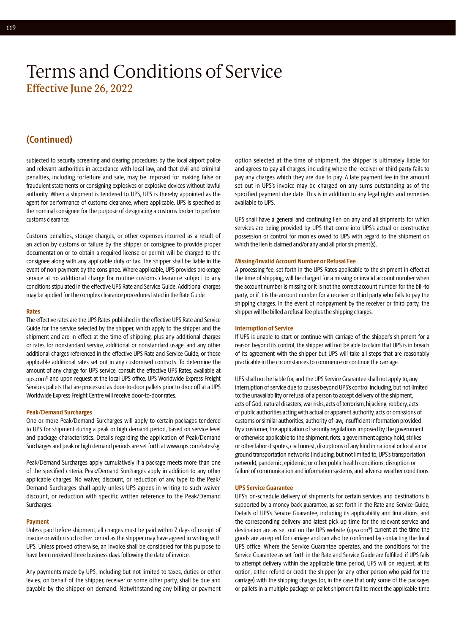### **(Continued)**

subjected to security screening and clearing procedures by the local airport police and relevant authorities in accordance with local law, and that civil and criminal penalties, including forfeiture and sale, may be imposed for making false or fraudulent statements or consigning explosives or explosive devices without lawful authority. When a shipment is tendered to UPS, UPS is thereby appointed as the agent for performance of customs clearance, where applicable. UPS is specified as the nominal consignee for the purpose of designating a customs broker to perform customs clearance.

Customs penalties, storage charges, or other expenses incurred as a result of an action by customs or failure by the shipper or consignee to provide proper documentation or to obtain a required license or permit will be charged to the consignee along with any applicable duty or tax. The shipper shall be liable in the event of non-payment by the consignee. Where applicable, UPS provides brokerage service at no additional charge for routine customs clearance subject to any conditions stipulated in the effective UPS Rate and Service Guide. Additional charges may be applied for the complex clearance procedures listed in the Rate Guide.

#### **Rates**

The effective rates are the UPS Rates published in the effective UPS Rate and Service Guide for the service selected by the shipper, which apply to the shipper and the shipment and are in effect at the time of shipping, plus any additional charges or rates for nonstandard service, additional or nonstandard usage, and any other additional charges referenced in the effective UPS Rate and Service Guide, or those applicable additional rates set out in any customised contracts. To determine the amount of any charge for UPS service, consult the effective UPS Rates, available at [ups.com®](http://ups.com) and upon request at the local UPS office. UPS Worldwide Express Freight Services pallets that are processed as door-to-door pallets prior to drop off at a UPS Worldwide Express Freight Centre will receive door-to-door rates.

#### **Peak/Demand Surcharges**

One or more Peak/Demand Surcharges will apply to certain packages tendered to UPS for shipment during a peak or high demand period, based on service level and package characteristics. Details regarding the application of Peak/Demand Surcharges and peak or high demand periods are set forth at [www.ups.com/rates/sg](http://www.ups.com/rates/sg).

Peak/Demand Surcharges apply cumulatively if a package meets more than one of the specified criteria. Peak/Demand Surcharges apply in addition to any other applicable charges. No waiver, discount, or reduction of any type to the Peak/ Demand Surcharges shall apply unless UPS agrees in writing to such waiver, discount, or reduction with specific written reference to the Peak/Demand Surcharges.

#### **Payment**

Unless paid before shipment, all charges must be paid within 7 days of receipt of invoice or within such other period as the shipper may have agreed in writing with UPS. Unless proved otherwise, an invoice shall be considered for this purpose to have been received three business days following the date of invoice.

Any payments made by UPS, including but not limited to taxes, duties or other levies, on behalf of the shipper, receiver or some other party, shall be due and payable by the shipper on demand. Notwithstanding any billing or payment option selected at the time of shipment, the shipper is ultimately liable for and agrees to pay all charges, including where the receiver or third party fails to pay any charges which they are due to pay. A late payment fee in the amount set out in UPS's invoice may be charged on any sums outstanding as of the specified payment due date. This is in addition to any legal rights and remedies available to UPS.

UPS shall have a general and continuing lien on any and all shipments for which services are being provided by UPS that come into UPS's actual or constructive possession or control for monies owed to UPS with regard to the shipment on which the lien is claimed and/or any and all prior shipment(s).

#### **Missing/Invalid Account Number or Refusal Fee**

A processing fee, set forth in the UPS Rates applicable to the shipment in effect at the time of shipping, will be charged for a missing or invalid account number when the account number is missing or it is not the correct account number for the bill-to party, or if it is the account number for a receiver or third party who fails to pay the shipping charges. In the event of nonpayment by the receiver or third party, the shipper will be billed a refusal fee plus the shipping charges.

#### **Interruption of Service**

If UPS is unable to start or continue with carriage of the shipper's shipment for a reason beyond its control, the shipper will not be able to claim that UPS is in breach of its agreement with the shipper but UPS will take all steps that are reasonably practicable in the circumstances to commence or continue the carriage.

UPS shall not be liable for, and the UPS Service Guarantee shall not apply to, any interruption of service due to causes beyond UPS's control including, but not limited to: the unavailability or refusal of a person to accept delivery of the shipment, acts of God, natural disasters, war risks, acts of terrorism, hijacking, robbery, acts of public authorities acting with actual or apparent authority, acts or omissions of customs or similar authorities, authority of law, insufficient information provided by a customer, the application of security regulations imposed by the government or otherwise applicable to the shipment, riots, a government agency hold, strikes or other labor disputes, civil unrest, disruptions of any kind in national or local air or ground transportation networks (including, but not limited to, UPS's transportation network), pandemic, epidemic, or other public health conditions, disruption or failure of communication and information systems, and adverse weather conditions.

#### **UPS Service Guarantee**

UPS's on-schedule delivery of shipments for certain services and destinations is supported by a money-back guarantee, as set forth in the Rate and Service Guide, Details of UPS's Service Guarantee, including its applicability and limitations, and the corresponding delivery and latest pick up time for the relevant service and destination are as set out on the UPS website [\(ups.com®](http://ups.com)) current at the time the goods are accepted for carriage and can also be confirmed by contacting the local UPS office. Where the Service Guarantee operates, and the conditions for the Service Guarantee as set forth in the Rate and Service Guide are fulfilled, if UPS fails to attempt delivery within the applicable time period, UPS will on request, at its option, either refund or credit the shipper (or any other person who paid for the carriage) with the shipping charges (or, in the case that only some of the packages or pallets in a multiple package or pallet shipment fail to meet the applicable time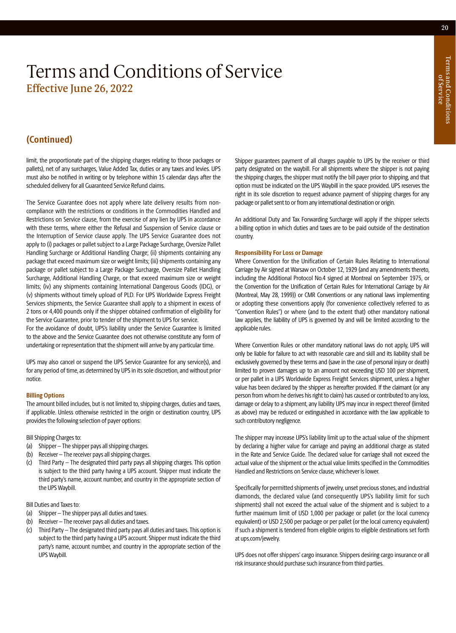### **(Continued)**

limit, the proportionate part of the shipping charges relating to those packages or pallets), net of any surcharges, Value Added Tax, duties or any taxes and levies. UPS must also be notified in writing or by telephone within 15 calendar days after the scheduled delivery for all Guaranteed Service Refund claims.

The Service Guarantee does not apply where late delivery results from noncompliance with the restrictions or conditions in the Commodities Handled and Restrictions on Service clause, from the exercise of any lien by UPS in accordance with these terms, where either the Refusal and Suspension of Service clause or the Interruption of Service clause apply. The UPS Service Guarantee does not apply to (i) packages or pallet subject to a Large Package Surcharge, Oversize Pallet Handling Surcharge or Additional Handling Charge; (ii) shipments containing any package that exceed maximum size or weight limits; (iii) shipments containing any package or pallet subject to a Large Package Surcharge, Oversize Pallet Handling Surcharge, Additional Handling Charge, or that exceed maximum size or weight limits; (iv) any shipments containing International Dangerous Goods (IDG), or (v) shipments without timely upload of PLD. For UPS Worldwide Express Freight Services shipments, the Service Guarantee shall apply to a shipment in excess of 2 tons or 4,400 pounds only if the shipper obtained confirmation of eligibility for the Service Guarantee, prior to tender of the shipment to UPS for service.

For the avoidance of doubt, UPS's liability under the Service Guarantee is limited to the above and the Service Guarantee does not otherwise constitute any form of undertaking or representation that the shipment will arrive by any particular time.

UPS may also cancel or suspend the UPS Service Guarantee for any service(s), and for any period of time, as determined by UPS in its sole discretion, and without prior notice.

#### **Billing Options**

The amount billed includes, but is not limited to, shipping charges, duties and taxes, if applicable. Unless otherwise restricted in the origin or destination country, UPS provides the following selection of payer options:

Bill Shipping Charges to:

- (a) Shipper The shipper pays all shipping charges.
- (b) Receiver The receiver pays all shipping charges.
- (c) Third Party The designated third party pays all shipping charges. This option is subject to the third party having a UPS account. Shipper must indicate the third party's name, account number, and country in the appropriate section of the UPS Waybill.

#### Bill Duties and Taxes to:

- (a) Shipper The shipper pays all duties and taxes.
- (b) Receiver The receiver pays all duties and taxes.
- (c) Third Party The designated third party pays all duties and taxes. This option is subject to the third party having a UPS account. Shipper must indicate the third party's name, account number, and country in the appropriate section of the UPS Waybill.

Shipper guarantees payment of all charges payable to UPS by the receiver or third party designated on the waybill. For all shipments where the shipper is not paying the shipping charges, the shipper must notify the bill payer prior to shipping, and that option must be indicated on the UPS Waybill in the space provided. UPS reserves the right in its sole discretion to request advance payment of shipping charges for any package or pallet sent to or from any international destination or origin.

An additional Duty and Tax Forwarding Surcharge will apply if the shipper selects a billing option in which duties and taxes are to be paid outside of the destination country.

#### **Responsibility For Loss or Damage**

Where Convention for the Unification of Certain Rules Relating to International Carriage by Air signed at Warsaw on October 12, 1929 (and any amendments thereto, including the Additional Protocol No.4 signed at Montreal on September 1975, or the Convention for the Unification of Certain Rules for International Carriage by Air (Montreal, May 28, 1999)) or CMR Conventions or any national laws implementing or adopting these conventions apply (for convenience collectively referred to as "Convention Rules") or where (and to the extent that) other mandatory national law applies, the liability of UPS is governed by and will be limited according to the applicable rules.

Where Convention Rules or other mandatory national laws do not apply, UPS will only be liable for failure to act with reasonable care and skill and its liability shall be exclusively governed by these terms and (save in the case of personal injury or death) limited to proven damages up to an amount not exceeding USD 100 per shipment, or per pallet in a UPS Worldwide Express Freight Services shipment, unless a higher value has been declared by the shipper as hereafter provided. If the claimant (or any person from whom he derives his right to claim) has caused or contributed to any loss, damage or delay to a shipment, any liability UPS may incur in respect thereof (limited as above) may be reduced or extinguished in accordance with the law applicable to such contributory negligence.

The shipper may increase UPS's liability limit up to the actual value of the shipment by declaring a higher value for carriage and paying an additional charge as stated in the Rate and Service Guide. The declared value for carriage shall not exceed the actual value of the shipment or the actual value limits specified in the Commodities Handled and Restrictions on Service clause, whichever is lower.

Specifically for permitted shipments of jewelry, unset precious stones, and industrial diamonds, the declared value (and consequently UPS's liability limit for such shipments) shall not exceed the actual value of the shipment and is subject to a further maximum limit of USD 1,000 per package or pallet (or the local currency equivalent) or USD 2,500 per package or per pallet (or the local currency equivalent) if such a shipment is tendered from eligible origins to eligible destinations set forth at [ups.com/jewelry.](https://www.ups.com/jewelry)

UPS does not offer shippers' cargo insurance. Shippers desiring cargo insurance or all risk insurance should purchase such insurance from third parties.